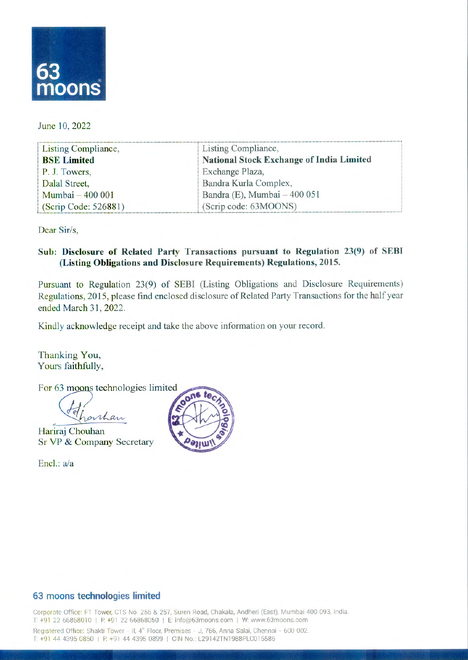

June 10, 2022

| Listing Compliance,  | Listing Compliance,                      |
|----------------------|------------------------------------------|
| <b>BSE Limited</b>   | National Stock Exchange of India Limited |
| P.J. Towers,         | Exchange Plaza,                          |
| Dalal Street,        | Bandra Kurla Complex,                    |
| Mumbai - 400 001     | Bandra (E), Mumbai $-400051$             |
| (Scrip Code: 526881) | (Scrip code: 63MOONS)                    |

Dear Sir/s,

## Sub: Disclosure of Related Party Transactions pursuant to Regulation 23(9) of SEBI **(Listing Obligations and Disclosure Requirements) Regulations, 2015.**

Pursuant to Regulation 23(9) of SEBI (Listing Obligations and Disclosure Requirements) Regulations, 2015, please find enclosed disclosure of Related Party Transactions for the half year ended March 31, 2022.

Kindly acknowledge receipt and take the above information on your record.

Thanking You, Yours faithfully,

For 63 moons technologies limited

*onhan* 

Hariraj Chouhan SrVP&Company Secretary

Encl.: a/a



## **63 moons technologies limited**

Corporate Office: FT Tower, CTS No. 256 & 257, Suren Road, Chakala, Andheri (East), Mumbai 400 093, India. T: +91 22 66868010 | F: +91 22 66868050 | E: info@63moons.com | W: www.63moons.com Registered Office: Shakti Tower - II, 4<sup>th</sup> Floor, Premises - J, 766, Anna Salai, Chennai - 600 002. T: +91 44 4395 0850 | F: +91 44 4395 0899 | CIN No.: L29142TN1988PLC015586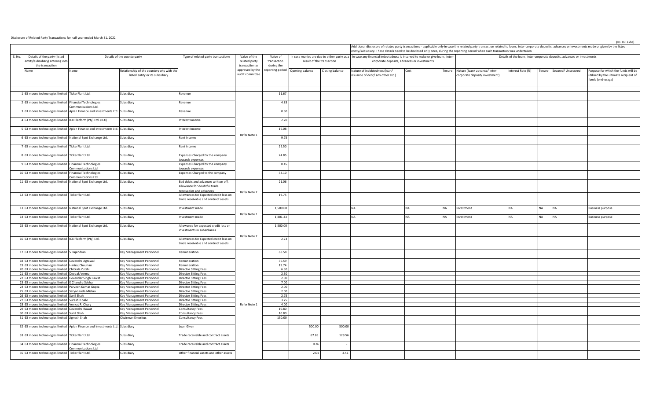Disclosure of Related Party Transactions for half year ended March 31, 2022

| entity/subsidiary. These details need to be disclosed only once, during the reporting period when such transaction was undertaken |                                                                                |                                                                              |                                                                                                           |                                                 |                                       |                                   |                           |                                                                                                                          |                                             |                                                                         | Additional disclosure of related party transactions - applicable only in case the related party transaction related to loans, inter-corporate deposits, advances or investments made or given by the listed |                   |           |                          |                                                                                                   |  |  |
|-----------------------------------------------------------------------------------------------------------------------------------|--------------------------------------------------------------------------------|------------------------------------------------------------------------------|-----------------------------------------------------------------------------------------------------------|-------------------------------------------------|---------------------------------------|-----------------------------------|---------------------------|--------------------------------------------------------------------------------------------------------------------------|---------------------------------------------|-------------------------------------------------------------------------|-------------------------------------------------------------------------------------------------------------------------------------------------------------------------------------------------------------|-------------------|-----------|--------------------------|---------------------------------------------------------------------------------------------------|--|--|
| S. No.<br>Details of the party (listed<br>entity/subsidiary) entering into<br>the transaction                                     | Details of the counterparty                                                    |                                                                              | Type of related party transactione                                                                        | Value of the<br>related party<br>transaction as | Value of<br>transaction<br>during the |                                   | result of the transaction | In case monies are due to either party as a In case any financial indebtedness is incurred to make or give loans, inter- | corporate deposits, advances or investments | Details of the loans, inter-corporate deposits, advances or investments |                                                                                                                                                                                                             |                   |           |                          |                                                                                                   |  |  |
| Name                                                                                                                              | Name                                                                           | Relationship of the counterparty with the<br>listed entity or its subsidiary |                                                                                                           | approved by the<br>audit committee              |                                       | eporting period   Opening balance | Closing balance           | Nature of indebtedness (loan/<br>issuance of debt/ any other etc.)                                                       | Cost                                        |                                                                         | Tenure Nature (loan/advance/inter-<br>corporate deposit/ investment)                                                                                                                                        | Interest Rate (%) |           | Tenure Secured/Unsecured | Purpose for which the funds will be<br>utilised by the ultimate recipient of<br>funds (end-usage) |  |  |
| 63 moons technologies limited TickerPlant Ltd.                                                                                    |                                                                                | Subsidiary                                                                   | Revenue                                                                                                   |                                                 | 11.67                                 |                                   |                           |                                                                                                                          |                                             |                                                                         |                                                                                                                                                                                                             |                   |           |                          |                                                                                                   |  |  |
| 63 moons technologies limited Financial Technologies                                                                              | ommunications Ltd.                                                             | Subsidiary                                                                   | Revenue                                                                                                   |                                                 | 4.83                                  |                                   |                           |                                                                                                                          |                                             |                                                                         |                                                                                                                                                                                                             |                   |           |                          |                                                                                                   |  |  |
|                                                                                                                                   | 63 moons technologies limited Apian Finance and Investments Ltd. Subsidiary    |                                                                              | Revenue                                                                                                   |                                                 | 0.60                                  |                                   |                           |                                                                                                                          |                                             |                                                                         |                                                                                                                                                                                                             |                   |           |                          |                                                                                                   |  |  |
| 63 moons technologies limited ICX Platform (Pty) Ltd. (ICX)                                                                       |                                                                                | Subsidiary                                                                   | nterest Income                                                                                            |                                                 | 2.70                                  |                                   |                           |                                                                                                                          |                                             |                                                                         |                                                                                                                                                                                                             |                   |           |                          |                                                                                                   |  |  |
|                                                                                                                                   | 63 moons technologies limited Apian Finance and Investments Ltd. Subsidiary    |                                                                              | nterest Income                                                                                            |                                                 | 16.08                                 |                                   |                           |                                                                                                                          |                                             |                                                                         |                                                                                                                                                                                                             |                   |           |                          |                                                                                                   |  |  |
| 63 moons technologies limited National Spot Exchange Ltd.                                                                         |                                                                                | iubsidiary                                                                   | Rent income                                                                                               | Refer Note 1                                    | 9.75                                  |                                   |                           |                                                                                                                          |                                             |                                                                         |                                                                                                                                                                                                             |                   |           |                          |                                                                                                   |  |  |
| 63 moons technologies limited TickerPlant Ltd.                                                                                    |                                                                                | iubsidiary                                                                   | Rent income                                                                                               |                                                 | 22.50                                 |                                   |                           |                                                                                                                          |                                             |                                                                         |                                                                                                                                                                                                             |                   |           |                          |                                                                                                   |  |  |
| 63 moons technologies limited TickerPlant Ltd.                                                                                    |                                                                                | subsidiary                                                                   | Expenses Charged by the company                                                                           |                                                 | 74.85                                 |                                   |                           |                                                                                                                          |                                             |                                                                         |                                                                                                                                                                                                             |                   |           |                          |                                                                                                   |  |  |
| 63 moons technologies limited Financial Technologies                                                                              |                                                                                | Subsidiary                                                                   | owards expenses<br>Expenses Charged by the company                                                        |                                                 | 0.45                                  |                                   |                           |                                                                                                                          |                                             |                                                                         |                                                                                                                                                                                                             |                   |           |                          |                                                                                                   |  |  |
| 10 63 moons technologies limited Financial Technologies                                                                           | ommunications Ltd<br>ommunications Ltd.                                        | Subsidiary                                                                   | owards expenses<br>Expenses Charged to the company                                                        |                                                 | 38.10                                 |                                   |                           |                                                                                                                          |                                             |                                                                         |                                                                                                                                                                                                             |                   |           |                          |                                                                                                   |  |  |
| 11 63 moons technologies limited National Spot Exchange Ltd.                                                                      |                                                                                | subsidiary                                                                   | Bad debts and advances written off,<br>allowance for doubtful trade                                       |                                                 | 21.06                                 |                                   |                           |                                                                                                                          |                                             |                                                                         |                                                                                                                                                                                                             |                   |           |                          |                                                                                                   |  |  |
| 12 63 moons technologies limited TickerPlant Ltd.                                                                                 |                                                                                | Subsidiary                                                                   | eceivables and advances<br>Allowances for Expected credit loss on<br>trade receivable and contract assets | Refer Note 2                                    | 19.75                                 |                                   |                           |                                                                                                                          |                                             |                                                                         |                                                                                                                                                                                                             |                   |           |                          |                                                                                                   |  |  |
| 13 63 moons technologies limited National Spot Exchange Ltd.                                                                      |                                                                                | Subsidiary                                                                   | nvestment made                                                                                            |                                                 | 1,500.00                              |                                   |                           | <b>NA</b>                                                                                                                | NΔ                                          |                                                                         | nvestment                                                                                                                                                                                                   |                   | <b>NA</b> | <b>NA</b>                | <b>Business purpose</b>                                                                           |  |  |
| 14 63 moons technologies limited TickerPlant Ltd.                                                                                 |                                                                                | Subsidiary                                                                   | nvestment made                                                                                            | Refer Note 1                                    | 1,801.43                              |                                   |                           | <b>NA</b>                                                                                                                | <b>NA</b>                                   | NA                                                                      | nvestment                                                                                                                                                                                                   | NΔ                | <b>NA</b> | <b>NA</b>                | <b>Business purpose</b>                                                                           |  |  |
| 15 63 moons technologies limited National Spot Exchange Ltd.                                                                      |                                                                                | Subsidiary                                                                   | Allowance for expected credit loss on<br>nvestments in subsidiaries                                       |                                                 | 1,500.00                              |                                   |                           |                                                                                                                          |                                             |                                                                         |                                                                                                                                                                                                             |                   |           |                          |                                                                                                   |  |  |
| 16 63 moons technologies limited ICX Platform (Pty) Ltd.                                                                          |                                                                                | Subsidiary                                                                   | Allowances for Expected credit loss on<br>trade receivable and contract assets                            | Refer Note 2                                    | 2.73                                  |                                   |                           |                                                                                                                          |                                             |                                                                         |                                                                                                                                                                                                             |                   |           |                          |                                                                                                   |  |  |
| 17 63 moons technologies limited S Rajendran                                                                                      |                                                                                | Key Management Personnel                                                     | Remuneration                                                                                              |                                                 | 88.58                                 |                                   |                           |                                                                                                                          |                                             |                                                                         |                                                                                                                                                                                                             |                   |           |                          |                                                                                                   |  |  |
| 18 63 moons technologies limited Devendra Agrawal                                                                                 |                                                                                | key Management Personnel                                                     | Remuneration                                                                                              |                                                 | 36.59                                 |                                   |                           |                                                                                                                          |                                             |                                                                         |                                                                                                                                                                                                             |                   |           |                          |                                                                                                   |  |  |
| 19 63 moons technologies limited Hariraj Chouhan                                                                                  |                                                                                | Key Management Personnel                                                     | Remuneration                                                                                              |                                                 | 19.74                                 |                                   |                           |                                                                                                                          |                                             |                                                                         |                                                                                                                                                                                                             |                   |           |                          |                                                                                                   |  |  |
| 20 63 moons technologies limited Chitkala Zutshi                                                                                  |                                                                                | Key Management Personnel                                                     | Director Sitting Fees                                                                                     |                                                 | 6.50                                  |                                   |                           |                                                                                                                          |                                             |                                                                         |                                                                                                                                                                                                             |                   |           |                          |                                                                                                   |  |  |
| 21 63 moons technologies limited Deepak Verma                                                                                     |                                                                                | Key Management Personnel                                                     | Director Sitting Fees                                                                                     |                                                 | 2.50                                  |                                   |                           |                                                                                                                          |                                             |                                                                         |                                                                                                                                                                                                             |                   |           |                          |                                                                                                   |  |  |
| 22 63 moons technologies limited Devender Singh Rawat                                                                             |                                                                                | Key Management Personnel                                                     | Director Sitting Fees                                                                                     |                                                 | 2.00                                  |                                   |                           |                                                                                                                          |                                             |                                                                         |                                                                                                                                                                                                             |                   |           |                          |                                                                                                   |  |  |
| 23 63 moons technologies limited K Chandra Sekhar                                                                                 |                                                                                | Key Management Personnel                                                     | Director Sitting Fees                                                                                     | Refer Note 1                                    | 7.00                                  |                                   |                           |                                                                                                                          |                                             |                                                                         |                                                                                                                                                                                                             |                   |           |                          |                                                                                                   |  |  |
| 24 63 moons technologies limited Parveen Kumar Gupta<br>25 63 moons technologies limited Satyananda Mishra                        |                                                                                | Key Management Personnel<br>Key Management Personnel                         | Director Sitting Fees<br>Director Sitting Fees                                                            |                                                 | 2.00<br>2.00                          |                                   |                           |                                                                                                                          |                                             |                                                                         |                                                                                                                                                                                                             |                   |           |                          |                                                                                                   |  |  |
| 26 63 moons technologies limited Sunil Shah                                                                                       |                                                                                | Key Management Personnel                                                     | Director Sitting Fees                                                                                     |                                                 | 2.75                                  |                                   |                           |                                                                                                                          |                                             |                                                                         |                                                                                                                                                                                                             |                   |           |                          |                                                                                                   |  |  |
| 27 63 moons technologies limited Suresh B Salvi                                                                                   |                                                                                | Key Management Personnel                                                     | Director Sitting Fees                                                                                     |                                                 | 3.25                                  |                                   |                           |                                                                                                                          |                                             |                                                                         |                                                                                                                                                                                                             |                   |           |                          |                                                                                                   |  |  |
| 28 63 moons technologies limited Venkat R. Chary                                                                                  |                                                                                | Key Management Personnel                                                     | Director Sitting Fees                                                                                     |                                                 | 4.00                                  |                                   |                           |                                                                                                                          |                                             |                                                                         |                                                                                                                                                                                                             |                   |           |                          |                                                                                                   |  |  |
| 29 63 moons technologies limited Devendra Rawat                                                                                   |                                                                                | Key Management Personnel                                                     | Consultancy Fees                                                                                          |                                                 | 10.80                                 |                                   |                           |                                                                                                                          |                                             |                                                                         |                                                                                                                                                                                                             |                   |           |                          |                                                                                                   |  |  |
| 30 63 moons technologies limited Sunil Shah                                                                                       |                                                                                | Key Management Personnel                                                     | Consultancy Fees                                                                                          |                                                 | 10.80                                 |                                   |                           |                                                                                                                          |                                             |                                                                         |                                                                                                                                                                                                             |                   |           |                          |                                                                                                   |  |  |
| 31 63 moons technologies limited Jignesh Shah                                                                                     |                                                                                | Chairman Emeritus                                                            | Consultancy Fees                                                                                          |                                                 | 150.00                                |                                   |                           |                                                                                                                          |                                             |                                                                         |                                                                                                                                                                                                             |                   |           |                          |                                                                                                   |  |  |
|                                                                                                                                   | 32 63 moons technologies limited Apian Finance and Investments Ltd. Subsidiary |                                                                              | Loan Given                                                                                                |                                                 |                                       | 500.00                            | 500.00                    |                                                                                                                          |                                             |                                                                         |                                                                                                                                                                                                             |                   |           |                          |                                                                                                   |  |  |
| 33 63 moons technologies limited TickerPlant Ltd.                                                                                 |                                                                                | Subsidiary                                                                   | Trade receivable and contract assets                                                                      |                                                 |                                       | 67.85                             | 129.56                    |                                                                                                                          |                                             |                                                                         |                                                                                                                                                                                                             |                   |           |                          |                                                                                                   |  |  |
| 34 63 moons technologies limited Financial Technologies                                                                           | ommunications Ltd                                                              | iubsidiary                                                                   | Trade receivable and contract assets                                                                      |                                                 |                                       | 0.26                              |                           |                                                                                                                          |                                             |                                                                         |                                                                                                                                                                                                             |                   |           |                          |                                                                                                   |  |  |
| 35 63 moons technologies limited TickerPlant Ltd.                                                                                 |                                                                                | ubsidiary                                                                    | Other financial assets and other assets                                                                   |                                                 |                                       | 2.01                              | 4.41                      |                                                                                                                          |                                             |                                                                         |                                                                                                                                                                                                             |                   |           |                          |                                                                                                   |  |  |

(Rs. In Lakhs)